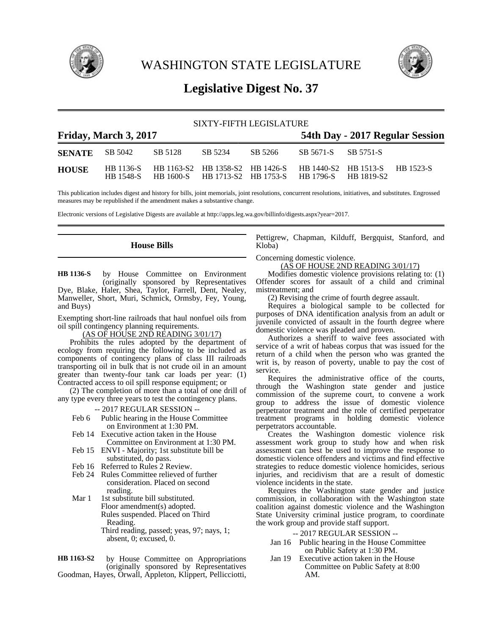

WASHINGTON STATE LEGISLATURE



# **Legislative Digest No. 37**

| SIXTY-FIFTH LEGISLATURE |                       |                                                                          |         |                                 |                                                     |  |  |  |
|-------------------------|-----------------------|--------------------------------------------------------------------------|---------|---------------------------------|-----------------------------------------------------|--|--|--|
|                         | Friday, March 3, 2017 |                                                                          |         | 54th Day - 2017 Regular Session |                                                     |  |  |  |
| <b>SENATE</b> SB 5042   |                       | SB 5128                                                                  | SB 5234 | SB 5266                         | SB 5671-S SB 5751-S                                 |  |  |  |
| <b>HOUSE</b>            | HB 1548-S             | HB 1136-S HB 1163-S2 HB 1358-S2 HB 1426-S HB 1440-S2 HB 1513-S HB 1523-S |         |                                 | HB 1600-S HB 1713-S2 HB 1753-S HB 1796-S HB 1819-S2 |  |  |  |

This publication includes digest and history for bills, joint memorials, joint resolutions, concurrent resolutions, initiatives, and substitutes. Engrossed measures may be republished if the amendment makes a substantive change.

Electronic versions of Legislative Digests are available at http://apps.leg.wa.gov/billinfo/digests.aspx?year=2017.

### **House Bills**

by House Committee on Environment (originally sponsored by Representatives Dye, Blake, Haler, Shea, Taylor, Farrell, Dent, Nealey, Manweller, Short, Muri, Schmick, Ormsby, Fey, Young, and Buys) **HB 1136-S**

Exempting short-line railroads that haul nonfuel oils from oil spill contingency planning requirements.

(AS OF HOUSE 2ND READING 3/01/17)

Prohibits the rules adopted by the department of ecology from requiring the following to be included as components of contingency plans of class III railroads transporting oil in bulk that is not crude oil in an amount greater than twenty-four tank car loads per year: (1) Contracted access to oil spill response equipment; or

(2) The completion of more than a total of one drill of any type every three years to test the contingency plans.

- -- 2017 REGULAR SESSION --
- Feb 6 Public hearing in the House Committee on Environment at 1:30 PM.
- Feb 14 Executive action taken in the House Committee on Environment at 1:30 PM.
- Feb 15 ENVI Majority; 1st substitute bill be substituted, do pass.
- Feb 16 Referred to Rules 2 Review.
- Feb 24 Rules Committee relieved of further consideration. Placed on second reading.
- Mar 1 1st substitute bill substituted. Floor amendment(s) adopted. Rules suspended. Placed on Third Reading. Third reading, passed; yeas, 97; nays, 1; absent, 0; excused, 0.

by House Committee on Appropriations (originally sponsored by Representatives Goodman, Hayes, Orwall, Appleton, Klippert, Pellicciotti, **HB 1163-S2**

Pettigrew, Chapman, Kilduff, Bergquist, Stanford, and Kloba)

Concerning domestic violence.

(AS OF HOUSE 2ND READING 3/01/17)

Modifies domestic violence provisions relating to: (1) Offender scores for assault of a child and criminal mistreatment; and

(2) Revising the crime of fourth degree assault.

Requires a biological sample to be collected for purposes of DNA identification analysis from an adult or juvenile convicted of assault in the fourth degree where domestic violence was pleaded and proven.

Authorizes a sheriff to waive fees associated with service of a writ of habeas corpus that was issued for the return of a child when the person who was granted the writ is, by reason of poverty, unable to pay the cost of service.

Requires the administrative office of the courts, through the Washington state gender and justice commission of the supreme court, to convene a work group to address the issue of domestic violence perpetrator treatment and the role of certified perpetrator treatment programs in holding domestic violence perpetrators accountable.

Creates the Washington domestic violence risk assessment work group to study how and when risk assessment can best be used to improve the response to domestic violence offenders and victims and find effective strategies to reduce domestic violence homicides, serious injuries, and recidivism that are a result of domestic violence incidents in the state.

Requires the Washington state gender and justice commission, in collaboration with the Washington state coalition against domestic violence and the Washington State University criminal justice program, to coordinate the work group and provide staff support.

-- 2017 REGULAR SESSION --

- Jan 16 Public hearing in the House Committee on Public Safety at 1:30 PM.
- Jan 19 Executive action taken in the House Committee on Public Safety at 8:00 AM.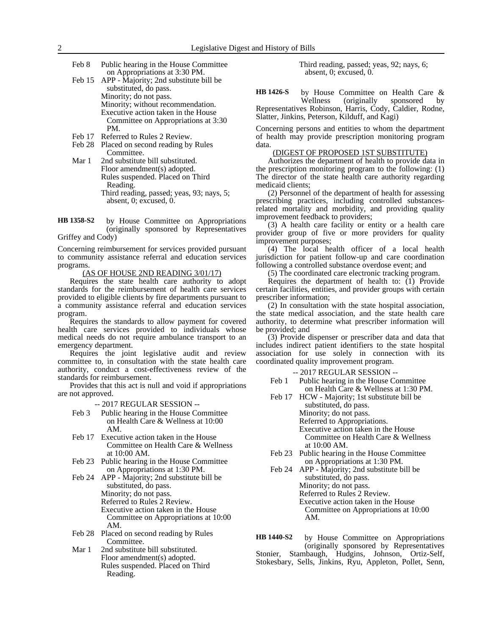- Feb 8 Public hearing in the House Committee on Appropriations at 3:30 PM.
- Feb 15 APP Majority; 2nd substitute bill be substituted, do pass. Minority; do not pass. Minority; without recommendation. Executive action taken in the House Committee on Appropriations at 3:30 PM.
- Feb 17 Referred to Rules 2 Review.
- Feb 28 Placed on second reading by Rules Committee.
- Mar 1 2nd substitute bill substituted. Floor amendment(s) adopted. Rules suspended. Placed on Third Reading. Third reading, passed; yeas, 93; nays, 5; absent, 0; excused, 0.

by House Committee on Appropriations (originally sponsored by Representatives Griffey and Cody) **HB 1358-S2**

Concerning reimbursement for services provided pursuant to community assistance referral and education services programs.

(AS OF HOUSE 2ND READING 3/01/17)

Requires the state health care authority to adopt standards for the reimbursement of health care services provided to eligible clients by fire departments pursuant to a community assistance referral and education services program.

Requires the standards to allow payment for covered health care services provided to individuals whose medical needs do not require ambulance transport to an emergency department.

Requires the joint legislative audit and review committee to, in consultation with the state health care authority, conduct a cost-effectiveness review of the standards for reimbursement.

Provides that this act is null and void if appropriations are not approved.

-- 2017 REGULAR SESSION --

- Feb 3 Public hearing in the House Committee on Health Care & Wellness at 10:00 AM.
- Feb 17 Executive action taken in the House Committee on Health Care & Wellness at 10:00 AM.
- Feb 23 Public hearing in the House Committee on Appropriations at 1:30 PM.
- Feb 24 APP Majority; 2nd substitute bill be substituted, do pass. Minority; do not pass. Referred to Rules 2 Review. Executive action taken in the House Committee on Appropriations at 10:00 AM.
- Feb 28 Placed on second reading by Rules Committee.
- Mar 1 2nd substitute bill substituted. Floor amendment(s) adopted. Rules suspended. Placed on Third Reading.

Third reading, passed; yeas, 92; nays, 6; absent, 0; excused, 0.

by House Committee on Health Care &<br>Wellness (originally sponsored by (originally sponsored by Representatives Robinson, Harris, Cody, Caldier, Rodne, Slatter, Jinkins, Peterson, Kilduff, and Kagi) **HB 1426-S**

Concerning persons and entities to whom the department of health may provide prescription monitoring program data.

### (DIGEST OF PROPOSED 1ST SUBSTITUTE)

Authorizes the department of health to provide data in the prescription monitoring program to the following: (1) The director of the state health care authority regarding medicaid clients;

(2) Personnel of the department of health for assessing prescribing practices, including controlled substancesrelated mortality and morbidity, and providing quality improvement feedback to providers;

(3) A health care facility or entity or a health care provider group of five or more providers for quality improvement purposes;

(4) The local health officer of a local health jurisdiction for patient follow-up and care coordination following a controlled substance overdose event; and

(5) The coordinated care electronic tracking program.

Requires the department of health to: (1) Provide certain facilities, entities, and provider groups with certain prescriber information;

(2) In consultation with the state hospital association, the state medical association, and the state health care authority, to determine what prescriber information will be provided; and

(3) Provide dispenser or prescriber data and data that includes indirect patient identifiers to the state hospital association for use solely in connection with its coordinated quality improvement program.

-- 2017 REGULAR SESSION --

- Feb 1 Public hearing in the House Committee on Health Care & Wellness at 1:30 PM.
- Feb 17 HCW Majority; 1st substitute bill be substituted, do pass. Minority; do not pass. Referred to Appropriations. Executive action taken in the House Committee on Health Care & Wellness at 10:00 AM.
- Feb 23 Public hearing in the House Committee on Appropriations at 1:30 PM.
- Feb 24 APP Majority; 2nd substitute bill be substituted, do pass. Minority; do not pass. Referred to Rules 2 Review. Executive action taken in the House Committee on Appropriations at 10:00 AM.

by House Committee on Appropriations (originally sponsored by Representatives Stonier, Stambaugh, Hudgins, Johnson, Ortiz-Self, Stokesbary, Sells, Jinkins, Ryu, Appleton, Pollet, Senn, **HB 1440-S2**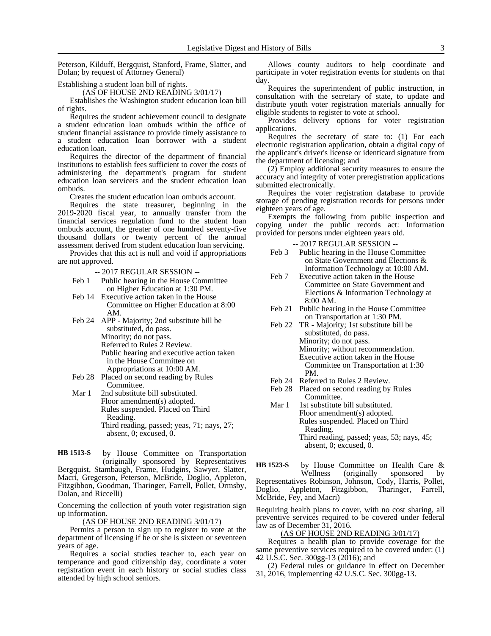Peterson, Kilduff, Bergquist, Stanford, Frame, Slatter, and Dolan; by request of Attorney General)

Establishing a student loan bill of rights.

(AS OF HOUSE 2ND READING 3/01/17)

Establishes the Washington student education loan bill of rights.

Requires the student achievement council to designate a student education loan ombuds within the office of student financial assistance to provide timely assistance to a student education loan borrower with a student education loan.

Requires the director of the department of financial institutions to establish fees sufficient to cover the costs of administering the department's program for student education loan servicers and the student education loan ombuds.

Creates the student education loan ombuds account.

Requires the state treasurer, beginning in the 2019-2020 fiscal year, to annually transfer from the financial services regulation fund to the student loan ombuds account, the greater of one hundred seventy-five thousand dollars or twenty percent of the annual assessment derived from student education loan servicing.

Provides that this act is null and void if appropriations are not approved.

-- 2017 REGULAR SESSION --

- Feb 1 Public hearing in the House Committee on Higher Education at 1:30 PM.
- Feb 14 Executive action taken in the House Committee on Higher Education at 8:00 AM.
- Feb 24 APP Majority; 2nd substitute bill be substituted, do pass. Minority; do not pass. Referred to Rules 2 Review. Public hearing and executive action taken in the House Committee on Appropriations at 10:00 AM.
- Feb 28 Placed on second reading by Rules Committee.
- Mar 1 2nd substitute bill substituted. Floor amendment(s) adopted. Rules suspended. Placed on Third Reading. Third reading, passed; yeas, 71; nays, 27; absent, 0; excused, 0.

by House Committee on Transportation (originally sponsored by Representatives Bergquist, Stambaugh, Frame, Hudgins, Sawyer, Slatter, Macri, Gregerson, Peterson, McBride, Doglio, Appleton, Fitzgibbon, Goodman, Tharinger, Farrell, Pollet, Ormsby, Dolan, and Riccelli) **HB 1513-S**

Concerning the collection of youth voter registration sign up information.

### (AS OF HOUSE 2ND READING 3/01/17)

Permits a person to sign up to register to vote at the department of licensing if he or she is sixteen or seventeen years of age.

Requires a social studies teacher to, each year on temperance and good citizenship day, coordinate a voter registration event in each history or social studies class attended by high school seniors.

Allows county auditors to help coordinate and participate in voter registration events for students on that day.

Requires the superintendent of public instruction, in consultation with the secretary of state, to update and distribute youth voter registration materials annually for eligible students to register to vote at school.

Provides delivery options for voter registration applications.

Requires the secretary of state to: (1) For each electronic registration application, obtain a digital copy of the applicant's driver's license or identicard signature from the department of licensing; and

(2) Employ additional security measures to ensure the accuracy and integrity of voter preregistration applications submitted electronically.

Requires the voter registration database to provide storage of pending registration records for persons under eighteen years of age.

Exempts the following from public inspection and copying under the public records act: Information provided for persons under eighteen years old.

-- 2017 REGULAR SESSION --

- Feb 3 Public hearing in the House Committee on State Government and Elections & Information Technology at 10:00 AM.
- Feb 7 Executive action taken in the House Committee on State Government and Elections & Information Technology at 8:00 AM.
- Feb 21 Public hearing in the House Committee on Transportation at 1:30 PM.
- Feb 22 TR Majority; 1st substitute bill be substituted, do pass. Minority; do not pass. Minority; without recommendation. Executive action taken in the House Committee on Transportation at 1:30 PM.
- Feb 24 Referred to Rules 2 Review.
- Feb 28 Placed on second reading by Rules Committee.
- Mar 1 1st substitute bill substituted. Floor amendment(s) adopted. Rules suspended. Placed on Third Reading. Third reading, passed; yeas, 53; nays, 45; absent, 0; excused, 0.

by House Committee on Health Care &<br>Wellness (originally sponsored by (originally sponsored by Representatives Robinson, Johnson, Cody, Harris, Pollet, Doglio, Appleton, Fitzgibbon, Tharinger, Farrell, McBride, Fey, and Macri) **HB 1523-S**

Requiring health plans to cover, with no cost sharing, all preventive services required to be covered under federal law as of December 31, 2016.

(AS OF HOUSE 2ND READING 3/01/17)

Requires a health plan to provide coverage for the same preventive services required to be covered under: (1) 42 U.S.C. Sec. 300gg-13 (2016); and

(2) Federal rules or guidance in effect on December 31, 2016, implementing 42 U.S.C. Sec. 300gg-13.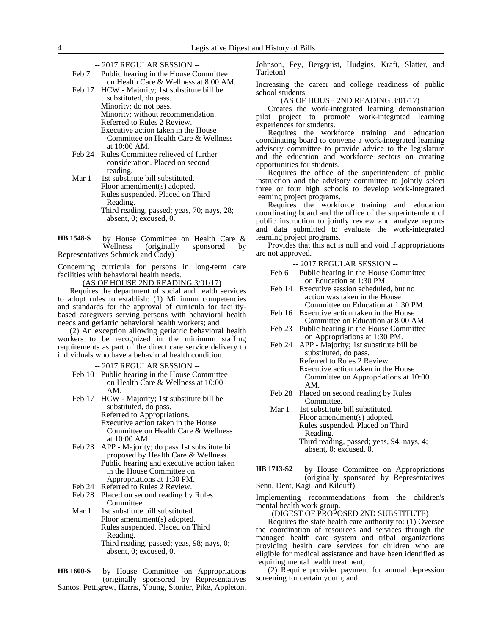-- 2017 REGULAR SESSION --

| Feb 7 | Public hearing in the House Committee         |
|-------|-----------------------------------------------|
|       | on Health Care & Wellness at 8:00 AM.         |
|       | Feb 17 HCW - Majority; 1st substitute bill be |

- substituted, do pass. Minority; do not pass. Minority; without recommendation. Referred to Rules 2 Review. Executive action taken in the House Committee on Health Care & Wellness at 10:00 AM.
- Feb 24 Rules Committee relieved of further consideration. Placed on second reading.
- Mar 1 1st substitute bill substituted. Floor amendment(s) adopted. Rules suspended. Placed on Third Reading. Third reading, passed; yeas, 70; nays, 28; absent, 0; excused, 0.

by House Committee on Health Care &<br>Wellness (originally sponsored by (originally sponsored by Representatives Schmick and Cody) **HB 1548-S**

Concerning curricula for persons in long-term care facilities with behavioral health needs.

(AS OF HOUSE 2ND READING 3/01/17)

Requires the department of social and health services to adopt rules to establish: (1) Minimum competencies and standards for the approval of curricula for facilitybased caregivers serving persons with behavioral health needs and geriatric behavioral health workers; and

(2) An exception allowing geriatric behavioral health workers to be recognized in the minimum staffing requirements as part of the direct care service delivery to individuals who have a behavioral health condition.

-- 2017 REGULAR SESSION --

- Feb 10 Public hearing in the House Committee on Health Care & Wellness at 10:00 AM.
- Feb 17 HCW Majority; 1st substitute bill be substituted, do pass. Referred to Appropriations. Executive action taken in the House Committee on Health Care & Wellness at 10:00 AM.
- Feb 23 APP Majority; do pass 1st substitute bill proposed by Health Care & Wellness. Public hearing and executive action taken in the House Committee on Appropriations at 1:30 PM.
- Feb 24 Referred to Rules 2 Review.
- Feb 28 Placed on second reading by Rules Committee.
- Mar 1 1st substitute bill substituted. Floor amendment(s) adopted. Rules suspended. Placed on Third Reading. Third reading, passed; yeas, 98; nays, 0; absent, 0; excused, 0.

by House Committee on Appropriations (originally sponsored by Representatives Santos, Pettigrew, Harris, Young, Stonier, Pike, Appleton, **HB 1600-S**

Johnson, Fey, Bergquist, Hudgins, Kraft, Slatter, and Tarleton)

Increasing the career and college readiness of public school students.

(AS OF HOUSE 2ND READING 3/01/17)

Creates the work-integrated learning demonstration pilot project to promote work-integrated learning experiences for students.

Requires the workforce training and education coordinating board to convene a work-integrated learning advisory committee to provide advice to the legislature and the education and workforce sectors on creating opportunities for students.

Requires the office of the superintendent of public instruction and the advisory committee to jointly select three or four high schools to develop work-integrated learning project programs.

Requires the workforce training and education coordinating board and the office of the superintendent of public instruction to jointly review and analyze reports and data submitted to evaluate the work-integrated learning project programs.

Provides that this act is null and void if appropriations are not approved.

|       | $-2017$ REGULAR SESSION $-$           |
|-------|---------------------------------------|
| Feb 6 | Public hearing in the House Committee |
|       | on Education at 1:30 PM.              |

Feb 14 Executive session scheduled, but no action was taken in the House Committee on Education at 1:30 PM.

- Feb 16 Executive action taken in the House Committee on Education at 8:00 AM.
- Feb 23 Public hearing in the House Committee on Appropriations at 1:30 PM.
- Feb 24 APP Majority; 1st substitute bill be substituted, do pass. Referred to Rules 2 Review. Executive action taken in the House Committee on Appropriations at 10:00 AM.
- Feb 28 Placed on second reading by Rules Committee.

Mar 1 1st substitute bill substituted. Floor amendment(s) adopted. Rules suspended. Placed on Third Reading. Third reading, passed; yeas, 94; nays, 4; absent, 0; excused, 0.

by House Committee on Appropriations (originally sponsored by Representatives Senn, Dent, Kagi, and Kilduff) **HB 1713-S2**

Implementing recommendations from the children's mental health work group.

(DIGEST OF PROPOSED 2ND SUBSTITUTE)

Requires the state health care authority to: (1) Oversee the coordination of resources and services through the managed health care system and tribal organizations providing health care services for children who are eligible for medical assistance and have been identified as requiring mental health treatment;

(2) Require provider payment for annual depression screening for certain youth; and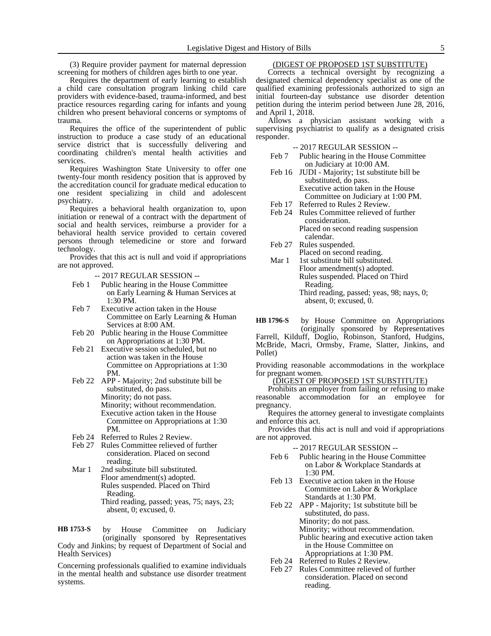(3) Require provider payment for maternal depression screening for mothers of children ages birth to one year.

Requires the department of early learning to establish a child care consultation program linking child care providers with evidence-based, trauma-informed, and best practice resources regarding caring for infants and young children who present behavioral concerns or symptoms of trauma.

Requires the office of the superintendent of public instruction to produce a case study of an educational service district that is successfully delivering and coordinating children's mental health activities and services.

Requires Washington State University to offer one twenty-four month residency position that is approved by the accreditation council for graduate medical education to one resident specializing in child and adolescent psychiatry.

Requires a behavioral health organization to, upon initiation or renewal of a contract with the department of social and health services, reimburse a provider for a behavioral health service provided to certain covered persons through telemedicine or store and forward technology.

Provides that this act is null and void if appropriations are not approved.

- -- 2017 REGULAR SESSION --
- Feb 1 Public hearing in the House Committee on Early Learning & Human Services at 1:30 PM.
- Feb 7 Executive action taken in the House Committee on Early Learning & Human Services at 8:00 AM.
- Feb 20 Public hearing in the House Committee on Appropriations at 1:30 PM.
- Feb 21 Executive session scheduled, but no action was taken in the House Committee on Appropriations at 1:30 PM.
- Feb 22 APP Majority; 2nd substitute bill be substituted, do pass. Minority; do not pass. Minority; without recommendation. Executive action taken in the House Committee on Appropriations at 1:30 PM.
- Feb 24 Referred to Rules 2 Review.
- Feb 27 Rules Committee relieved of further consideration. Placed on second reading.
- Mar 1 2nd substitute bill substituted. Floor amendment(s) adopted. Rules suspended. Placed on Third Reading. Third reading, passed; yeas, 75; nays, 23; absent, 0; excused, 0.

by House Committee on Judiciary (originally sponsored by Representatives Cody and Jinkins; by request of Department of Social and Health Services) **HB 1753-S**

Concerning professionals qualified to examine individuals in the mental health and substance use disorder treatment systems.

# (DIGEST OF PROPOSED 1ST SUBSTITUTE)

Corrects a technical oversight by recognizing a designated chemical dependency specialist as one of the qualified examining professionals authorized to sign an initial fourteen-day substance use disorder detention petition during the interim period between June 28, 2016, and April 1, 2018.

Allows a physician assistant working with a supervising psychiatrist to qualify as a designated crisis responder.

-- 2017 REGULAR SESSION --

- Feb 7 Public hearing in the House Committee on Judiciary at 10:00 AM.
- Feb 16 JUDI Majority; 1st substitute bill be substituted, do pass. Executive action taken in the House Committee on Judiciary at 1:00 PM.
- Feb 17 Referred to Rules 2 Review.<br>Feb 24 Rules Committee relieved of
- Rules Committee relieved of further consideration. Placed on second reading suspension
- calendar. Feb 27 Rules suspended. Placed on second reading.
- Mar 1 1st substitute bill substituted. Floor amendment(s) adopted. Rules suspended. Placed on Third Reading. Third reading, passed; yeas, 98; nays, 0; absent, 0; excused, 0.
- by House Committee on Appropriations (originally sponsored by Representatives Farrell, Kilduff, Doglio, Robinson, Stanford, Hudgins, McBride, Macri, Ormsby, Frame, Slatter, Jinkins, and Pollet) **HB 1796-S**

Providing reasonable accommodations in the workplace for pregnant women.

(DIGEST OF PROPOSED 1ST SUBSTITUTE)

Prohibits an employer from failing or refusing to make reasonable accommodation for an employee for pregnancy.

Requires the attorney general to investigate complaints and enforce this act.

Provides that this act is null and void if appropriations are not approved.

- -- 2017 REGULAR SESSION --
- Feb 6 Public hearing in the House Committee on Labor & Workplace Standards at 1:30 PM.
- Feb 13 Executive action taken in the House Committee on Labor & Workplace Standards at 1:30 PM.
- Feb 22 APP Majority; 1st substitute bill be substituted, do pass. Minority; do not pass. Minority; without recommendation. Public hearing and executive action taken in the House Committee on Appropriations at 1:30 PM.
- Feb 24 Referred to Rules 2 Review.
- Feb 27 Rules Committee relieved of further consideration. Placed on second reading.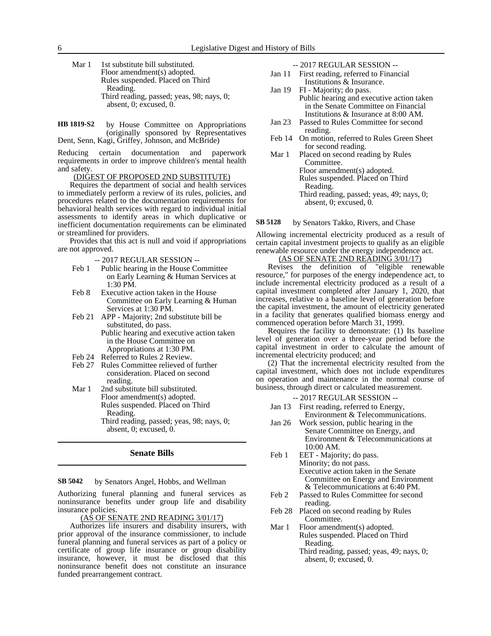| Mar 1 | 1st substitute bill substituted.          |  |  |  |  |
|-------|-------------------------------------------|--|--|--|--|
|       | Floor amendment(s) adopted.               |  |  |  |  |
|       | Rules suspended. Placed on Third          |  |  |  |  |
|       | Reading.                                  |  |  |  |  |
|       | Third reading, passed; yeas, 98; nays, 0; |  |  |  |  |
|       | absent, $0$ ; excused, $0$ .              |  |  |  |  |

by House Committee on Appropriations (originally sponsored by Representatives Dent, Senn, Kagi, Griffey, Johnson, and McBride) **HB 1819-S2**

Reducing certain documentation and paperwork requirements in order to improve children's mental health and safety.

### (DIGEST OF PROPOSED 2ND SUBSTITUTE)

Requires the department of social and health services to immediately perform a review of its rules, policies, and procedures related to the documentation requirements for behavioral health services with regard to individual initial assessments to identify areas in which duplicative or inefficient documentation requirements can be eliminated or streamlined for providers.

Provides that this act is null and void if appropriations are not approved.

- -- 2017 REGULAR SESSION --
- Feb 1 Public hearing in the House Committee on Early Learning & Human Services at 1:30 PM.
- Feb 8 Executive action taken in the House Committee on Early Learning & Human Services at 1:30 PM.
- Feb 21 APP Majority; 2nd substitute bill be substituted, do pass. Public hearing and executive action taken in the House Committee on
	- Appropriations at 1:30 PM.
- Feb 24 Referred to Rules 2 Review.<br>Feb 27 Rules Committee relieved of
- Rules Committee relieved of further consideration. Placed on second reading.
- Mar 1 2nd substitute bill substituted. Floor amendment(s) adopted. Rules suspended. Placed on Third Reading. Third reading, passed; yeas, 98; nays, 0; absent, 0; excused, 0.

## **Senate Bills**

#### by Senators Angel, Hobbs, and Wellman **SB 5042**

Authorizing funeral planning and funeral services as noninsurance benefits under group life and disability insurance policies.

### (AS OF SENATE 2ND READING 3/01/17)

Authorizes life insurers and disability insurers, with prior approval of the insurance commissioner, to include funeral planning and funeral services as part of a policy or certificate of group life insurance or group disability insurance, however, it must be disclosed that this noninsurance benefit does not constitute an insurance funded prearrangement contract.

-- 2017 REGULAR SESSION --

- Jan 11 First reading, referred to Financial Institutions & Insurance.
- Jan 19 FI Majority; do pass. Public hearing and executive action taken in the Senate Committee on Financial Institutions & Insurance at 8:00 AM.
- Jan 23 Passed to Rules Committee for second reading.
- Feb 14 On motion, referred to Rules Green Sheet for second reading.
- Mar 1 Placed on second reading by Rules Committee. Floor amendment(s) adopted. Rules suspended. Placed on Third Reading. Third reading, passed; yeas, 49; nays, 0; absent, 0; excused, 0.

by Senators Takko, Rivers, and Chase **SB 5128**

Allowing incremental electricity produced as a result of certain capital investment projects to qualify as an eligible renewable resource under the energy independence act.

# (AS OF SENATE 2ND READING 3/01/17)

Revises the definition of "eligible renewable resource," for purposes of the energy independence act, to include incremental electricity produced as a result of a capital investment completed after January 1, 2020, that increases, relative to a baseline level of generation before the capital investment, the amount of electricity generated in a facility that generates qualified biomass energy and commenced operation before March 31, 1999.

Requires the facility to demonstrate: (1) Its baseline level of generation over a three-year period before the capital investment in order to calculate the amount of incremental electricity produced; and

(2) That the incremental electricity resulted from the capital investment, which does not include expenditures on operation and maintenance in the normal course of business, through direct or calculated measurement.

-- 2017 REGULAR SESSION --

- Jan 13 First reading, referred to Energy, Environment & Telecommunications.
- Jan 26 Work session, public hearing in the Senate Committee on Energy, and Environment & Telecommunications at 10:00 AM.
- Feb 1 EET Majority; do pass. Minority; do not pass. Executive action taken in the Senate Committee on Energy and Environment & Telecommunications at 6:40 PM.
- Feb 2 Passed to Rules Committee for second reading.
- Feb 28 Placed on second reading by Rules Committee.
- Mar 1 Floor amendment(s) adopted. Rules suspended. Placed on Third Reading.

Third reading, passed; yeas, 49; nays, 0; absent, 0; excused, 0.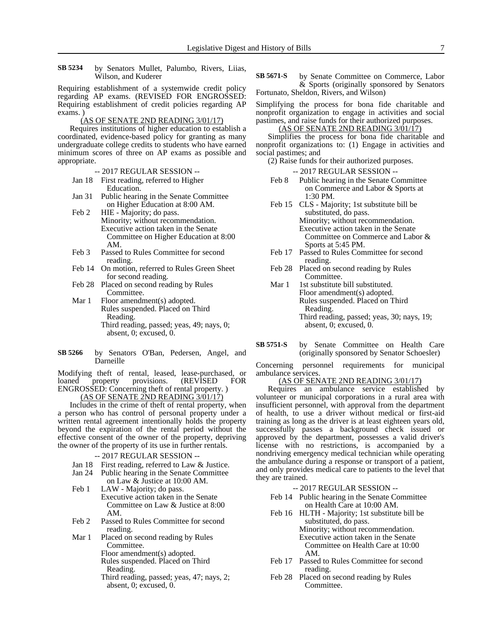by Senators Mullet, Palumbo, Rivers, Liias, Wilson, and Kuderer **SB 5234**

Requiring establishment of a systemwide credit policy regarding AP exams. (REVISED FOR ENGROSSED: Requiring establishment of credit policies regarding AP exams. )

### (AS OF SENATE 2ND READING 3/01/17)

Requires institutions of higher education to establish a coordinated, evidence-based policy for granting as many undergraduate college credits to students who have earned minimum scores of three on AP exams as possible and appropriate.

- -- 2017 REGULAR SESSION --
- Jan 18 First reading, referred to Higher Education.
- Jan 31 Public hearing in the Senate Committee on Higher Education at 8:00 AM.
- Feb 2 HIE Majority; do pass. Minority; without recommendation. Executive action taken in the Senate Committee on Higher Education at 8:00 AM.
- Feb 3 Passed to Rules Committee for second reading.
- Feb 14 On motion, referred to Rules Green Sheet for second reading.
- Feb 28 Placed on second reading by Rules Committee.
- Mar 1 Floor amendment(s) adopted. Rules suspended. Placed on Third Reading. Third reading, passed; yeas, 49; nays, 0; absent, 0; excused, 0.
- by Senators O'Ban, Pedersen, Angel, and Darneille **SB 5266**

Modifying theft of rental, leased, lease-purchased, or loaned property provisions. (REVISED FOR ENGROSSED: Concerning theft of rental property. )

(AS OF SENATE 2ND READING 3/01/17)

Includes in the crime of theft of rental property, when a person who has control of personal property under a written rental agreement intentionally holds the property beyond the expiration of the rental period without the effective consent of the owner of the property, depriving the owner of the property of its use in further rentals.

- -- 2017 REGULAR SESSION --
- Jan 18 First reading, referred to Law & Justice.
- Jan 24 Public hearing in the Senate Committee
- on Law & Justice at 10:00 AM. Feb 1 LAW - Majority; do pass.
- Executive action taken in the Senate Committee on Law & Justice at 8:00 AM.
- Feb 2 Passed to Rules Committee for second reading.
- Mar 1 Placed on second reading by Rules Committee.
	- Floor amendment(s) adopted.
	- Rules suspended. Placed on Third Reading.
	- Third reading, passed; yeas, 47; nays, 2; absent, 0; excused, 0.

by Senate Committee on Commerce, Labor & Sports (originally sponsored by Senators Fortunato, Sheldon, Rivers, and Wilson) **SB 5671-S**

Simplifying the process for bona fide charitable and nonprofit organization to engage in activities and social pastimes, and raise funds for their authorized purposes.

### (AS OF SENATE 2ND READING 3/01/17)

Simplifies the process for bona fide charitable and nonprofit organizations to: (1) Engage in activities and social pastimes; and

(2) Raise funds for their authorized purposes.

-- 2017 REGULAR SESSION --

- Feb 8 Public hearing in the Senate Committee on Commerce and Labor & Sports at 1:30 PM.
- Feb 15 CLS Majority; 1st substitute bill be substituted, do pass. Minority; without recommendation. Executive action taken in the Senate Committee on Commerce and Labor & Sports at 5:45 PM.
- Feb 17 Passed to Rules Committee for second reading.
- Feb 28 Placed on second reading by Rules Committee.
- Mar 1 1st substitute bill substituted. Floor amendment(s) adopted. Rules suspended. Placed on Third Reading. Third reading, passed; yeas, 30; nays, 19; absent, 0; excused, 0.
- by Senate Committee on Health Care (originally sponsored by Senator Schoesler) **SB 5751-S**

Concerning personnel requirements for municipal ambulance services.

### (AS OF SENATE 2ND READING 3/01/17)

Requires an ambulance service established by volunteer or municipal corporations in a rural area with insufficient personnel, with approval from the department of health, to use a driver without medical or first-aid training as long as the driver is at least eighteen years old, successfully passes a background check issued or approved by the department, possesses a valid driver's license with no restrictions, is accompanied by a nondriving emergency medical technician while operating the ambulance during a response or transport of a patient, and only provides medical care to patients to the level that they are trained.

- -- 2017 REGULAR SESSION --
- Feb 14 Public hearing in the Senate Committee on Health Care at 10:00 AM.
- Feb 16 HLTH Majority; 1st substitute bill be substituted, do pass. Minority; without recommendation. Executive action taken in the Senate Committee on Health Care at 10:00 AM.
- Feb 17 Passed to Rules Committee for second reading.
- Feb 28 Placed on second reading by Rules Committee.